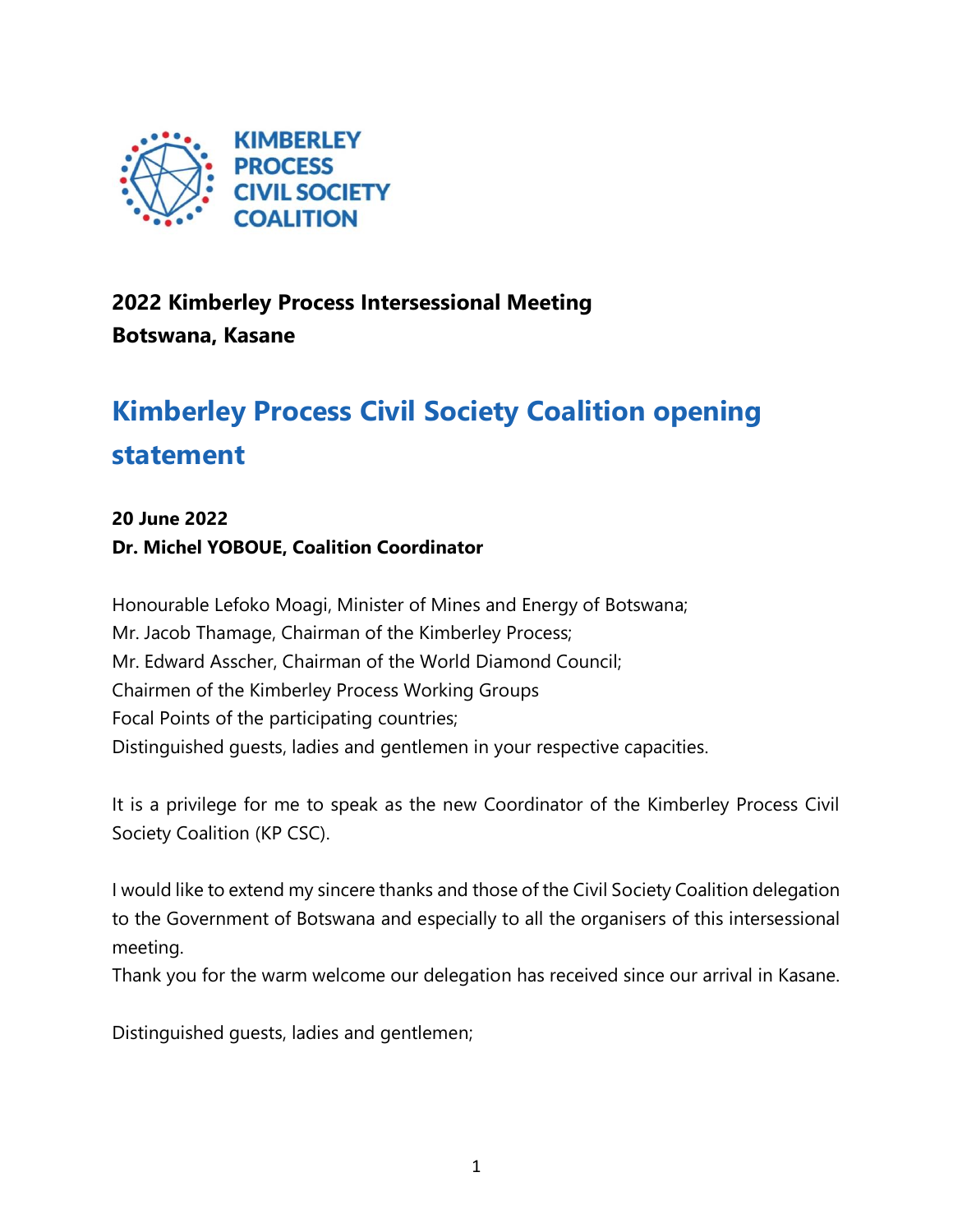

## **2022 Kimberley Process Intersessional Meeting Botswana, Kasane**

## **Kimberley Process Civil Society Coalition opening statement**

## **20 June 2022**

**Dr. Michel YOBOUE, Coalition Coordinator** 

Honourable Lefoko Moagi, Minister of Mines and Energy of Botswana; Mr. Jacob Thamage, Chairman of the Kimberley Process; Mr. Edward Asscher, Chairman of the World Diamond Council; Chairmen of the Kimberley Process Working Groups Focal Points of the participating countries; Distinguished guests, ladies and gentlemen in your respective capacities.

It is a privilege for me to speak as the new Coordinator of the Kimberley Process Civil Society Coalition (KP CSC).

I would like to extend my sincere thanks and those of the Civil Society Coalition delegation to the Government of Botswana and especially to all the organisers of this intersessional meeting.

Thank you for the warm welcome our delegation has received since our arrival in Kasane.

Distinguished guests, ladies and gentlemen;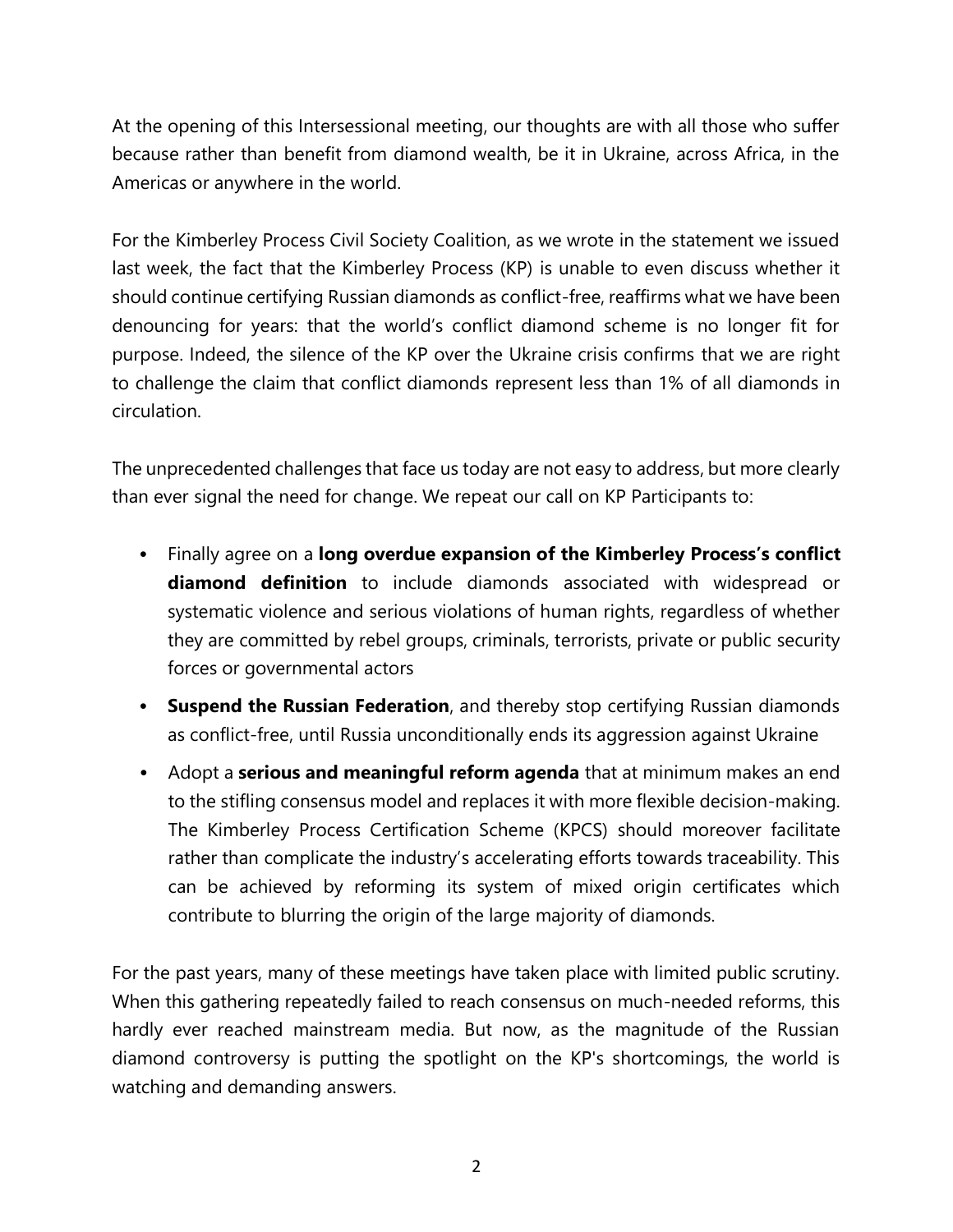At the opening of this Intersessional meeting, our thoughts are with all those who suffer because rather than benefit from diamond wealth, be it in Ukraine, across Africa, in the Americas or anywhere in the world.

For the Kimberley Process Civil Society Coalition, as we wrote in the statement we issued last week, the fact that the Kimberley Process (KP) is unable to even discuss whether it should continue certifying Russian diamonds as conflict-free, reaffirms what we have been denouncing for years: that the world's conflict diamond scheme is no longer fit for purpose. Indeed, the silence of the KP over the Ukraine crisis confirms that we are right to challenge the claim that conflict diamonds represent less than 1% of all diamonds in circulation.

The unprecedented challenges that face us today are not easy to address, but more clearly than ever signal the need for change. We repeat our call on KP Participants to:

- Finally agree on a **long overdue expansion of the Kimberley Process's conflict diamond definition** to include diamonds associated with widespread or systematic violence and serious violations of human rights, regardless of whether they are committed by rebel groups, criminals, terrorists, private or public security forces or governmental actors
- **Suspend the Russian Federation**, and thereby stop certifying Russian diamonds as conflict-free, until Russia unconditionally ends its aggression against Ukraine
- Adopt a **serious and meaningful reform agenda** that at minimum makes an end to the stifling consensus model and replaces it with more flexible decision-making. The Kimberley Process Certification Scheme (KPCS) should moreover facilitate rather than complicate the industry's accelerating efforts towards traceability. This can be achieved by reforming its system of mixed origin certificates which contribute to blurring the origin of the large majority of diamonds.

For the past years, many of these meetings have taken place with limited public scrutiny. When this gathering repeatedly failed to reach consensus on much-needed reforms, this hardly ever reached mainstream media. But now, as the magnitude of the Russian diamond controversy is putting the spotlight on the KP's shortcomings, the world is watching and demanding answers.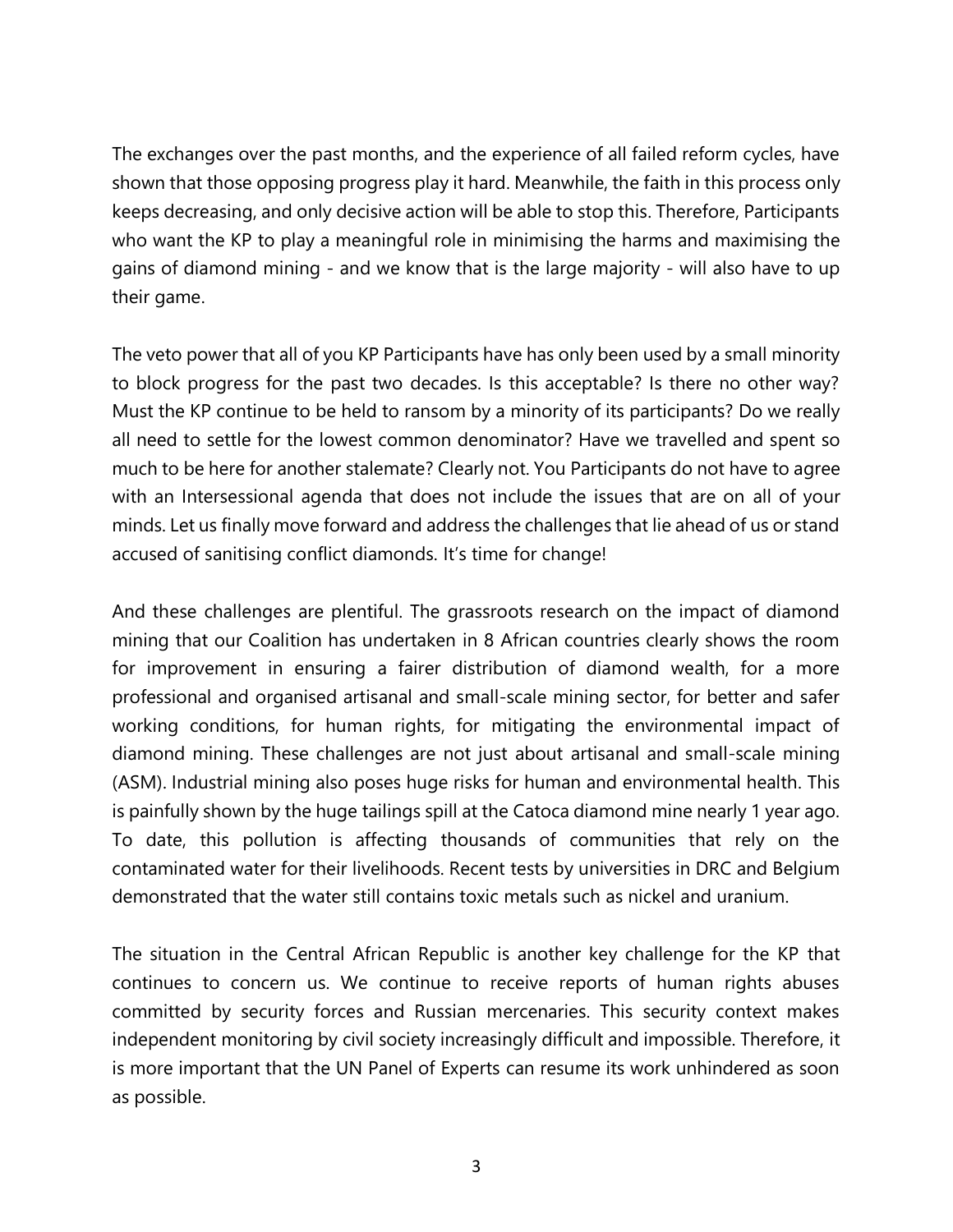The exchanges over the past months, and the experience of all failed reform cycles, have shown that those opposing progress play it hard. Meanwhile, the faith in this process only keeps decreasing, and only decisive action will be able to stop this. Therefore, Participants who want the KP to play a meaningful role in minimising the harms and maximising the gains of diamond mining - and we know that is the large majority - will also have to up their game.

The veto power that all of you KP Participants have has only been used by a small minority to block progress for the past two decades. Is this acceptable? Is there no other way? Must the KP continue to be held to ransom by a minority of its participants? Do we really all need to settle for the lowest common denominator? Have we travelled and spent so much to be here for another stalemate? Clearly not. You Participants do not have to agree with an Intersessional agenda that does not include the issues that are on all of your minds. Let us finally move forward and address the challenges that lie ahead of us or stand accused of sanitising conflict diamonds. It's time for change!

And these challenges are plentiful. The grassroots research on the impact of diamond mining that our Coalition has undertaken in 8 African countries clearly shows the room for improvement in ensuring a fairer distribution of diamond wealth, for a more professional and organised artisanal and small-scale mining sector, for better and safer working conditions, for human rights, for mitigating the environmental impact of diamond mining. These challenges are not just about artisanal and small-scale mining (ASM). Industrial mining also poses huge risks for human and environmental health. This is painfully shown by the huge tailings spill at the Catoca diamond mine nearly 1 year ago. To date, this pollution is affecting thousands of communities that rely on the contaminated water for their livelihoods. Recent tests by universities in DRC and Belgium demonstrated that the water still contains toxic metals such as nickel and uranium.

The situation in the Central African Republic is another key challenge for the KP that continues to concern us. We continue to receive reports of human rights abuses committed by security forces and Russian mercenaries. This security context makes independent monitoring by civil society increasingly difficult and impossible. Therefore, it is more important that the UN Panel of Experts can resume its work unhindered as soon as possible.